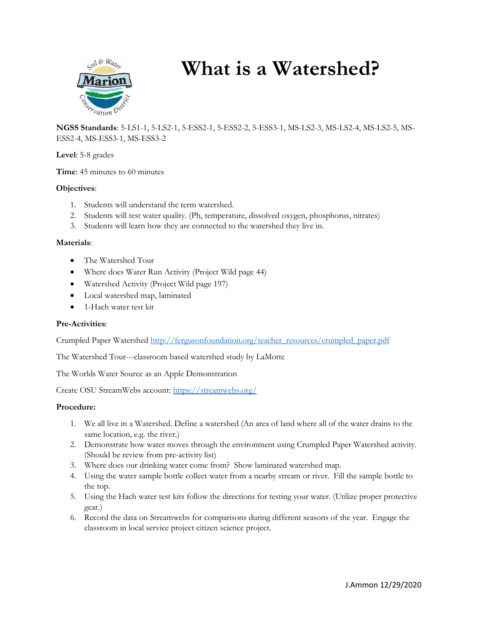

# **What is a Watershed?**

**NGSS Standards**: 5-LS1-1, 5-LS2-1, 5-ESS2-1, 5-ESS2-2, 5-ESS3-1, MS-LS2-3, MS-LS2-4, MS-LS2-5, MS-ESS2-4, MS-ESS3-1, MS-ESS3-2

**Level**: 5-8 grades

**Time**: 45 minutes to 60 minutes

## **Objectives**:

- 1. Students will understand the term watershed.
- 2. Students will test water quality. (Ph, temperature, dissolved oxygen, phosphorus, nitrates)
- 3. Students will learn how they are connected to the watershed they live in.

## **Materials**:

- The Watershed Tour
- Where does Water Run Activity (Project Wild page 44)
- Watershed Activity (Project Wild page 197)
- Local watershed map, laminated
- 1-Hach water test kit

#### **Pre-Activities**:

Crumpled Paper Watershed [http://fergusonfoundation.org/teacher\\_resources/crumpled\\_paper.pdf](http://fergusonfoundation.org/teacher_resources/crumpled_paper.pdf)

The Watershed Tour---classroom based watershed study by LaMotte

The Worlds Water Source as an Apple Demonstration

Create OSU StreamWebs account[: https://streamwebs.org/](https://streamwebs.org/)

#### **Procedure:**

- 1. We all live in a Watershed. Define a watershed (An area of land where all of the water drains to the same location, e.g. the river.)
- 2. Demonstrate how water moves through the environment using Crumpled Paper Watershed activity. (Should be review from pre-activity list)
- 3. Where does our drinking water come from? Show laminated watershed map.
- 4. Using the water sample bottle collect water from a nearby stream or river. Fill the sample bottle to the top.
- 5. Using the Hach water test kits follow the directions for testing your water. (Utilize proper protective gear.)
- 6. Record the data on Streamwebs for comparisons during different seasons of the year. Engage the classroom in local service project citizen science project.